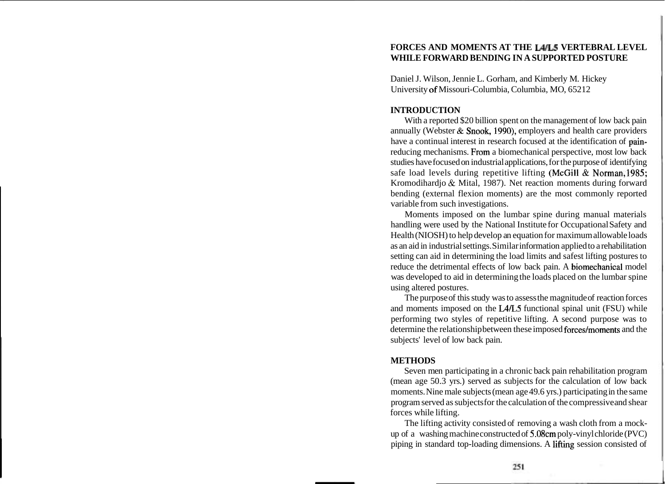# **FORCES AND MOMENTS AT THE L41L5 VERTEBRAL LEVEL WHILE FORWARD BENDING IN A SUPPORTED POSTURE**

Daniel J. Wilson, Jennie L. Gorham, and Kimberly M. Hickey University of Missouri-Columbia, Columbia, MO, 65212

### **INTRODUCTION**

With a reported \$20 billion spent on the management of low back pain annually (Webster & Snook, 1990), employers and health care providers have a continual interest in research focused at the identification of painreducing mechanisms. From a biomechanical perspective, most low back studies have focused on industrial applications, for the purpose of identifying safe load levels during repetitive lifting (McGill & Norman, 1985; Kromodihardjo & Mital, 1987). Net reaction moments during forward bending (external flexion moments) are the most commonly reported variable from such investigations.

Moments imposed on the lumbar spine during manual materials handling were used by the National Institute for Occupational Safety and Health (NIOSH) to help develop an equation for maximum allowable loads as an aid in industrial settings. Similar information applied to a rehabilitation setting can aid in determining the load limits and safest lifting postures to reduce the detrimental effects of low back pain. A biomechanical model was developed to aid in determining the loads placed on the lumbar spine using altered postures.

The purpose of this study was to assess the magnitude of reaction forces and moments imposed on the L4/L5 functional spinal unit (FSU) while performing two styles of repetitive lifting. A second purpose was to determine the relationship between these imposed forces/moments and the subjects' level of low back pain.

### **METHODS**

Seven men participating in a chronic back pain rehabilitation program (mean age 50.3 yrs.) served as subjects for the calculation of low back moments. Nine male subjects (mean age 49.6 yrs.) participating in the same program served as subjects for the calculation of the compressive and shear forces while lifting.

The lifting activity consisted of removing a wash cloth from a mockup of a washing machine constructed of 5.08cm poly-vinyl chloride (PVC) piping in standard top-loading dimensions. A lifting session consisted of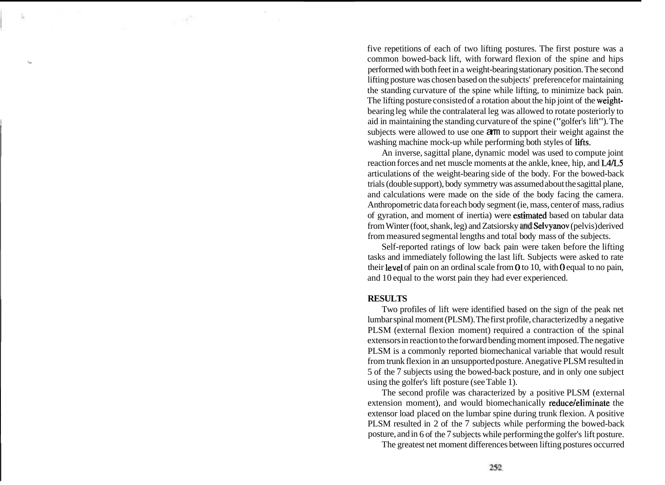five repetitions of each of two lifting postures. The first posture was a common bowed-back lift, with forward flexion of the spine and hips performed with both feet in a weight-bearing stationary position. The second lifting posture was chosen based on the subjects' preference for maintaining the standing curvature of the spine while lifting, to minimize back pain. The lifting posture consisted of a rotation about the hip joint of the weightbearing leg while the contralateral leg was allowed to rotate posteriorly to aid in maintaining the standing curvature of the spine ("golfer's lift"). The subjects were allowed to use one arm to support their weight against the washing machine mock-up while performing both styles of lifts.

An inverse, sagittal plane, dynamic model was used to compute joint reaction forces and net muscle moments at the ankle, knee, hip, and L4L5 articulations of the weight-bearing side of the body. For the bowed-back trials (double support), body symmetry was assumed about the sagittal plane, and calculations were made on the side of the body facing the camera. Anthropometric data for each body segment (ie, mass, center of mass, radius of gyration, and moment of inertia) were estimated based on tabular data from Winter (foot, shank, leg) and Zatsiorsky and Seivyanov (pelvis) derived from measured segmental lengths and total body mass of the subjects.

Self-reported ratings of low back pain were taken before the lifting tasks and immediately following the last lift. Subjects were asked to rate their level of pain on an ordinal scale from  $0$  to 10, with  $0$  equal to no pain, and 10 equal to the worst pain they had ever experienced.

#### **RESULTS**

Two profiles of lift were identified based on the sign of the peak net lumbar spinal moment (PLSM). The first profile, characterized by a negative PLSM (external flexion moment) required a contraction of the spinal extensors in reaction to the forward bending moment imposed. The negative PLSM is a commonly reported biomechanical variable that would result from trunk flexion in an unsupported posture. Anegative PLSM resulted in 5 of the 7 subjects using the bowed-back posture, and in only one subject using the golfer's lift posture (see Table 1).

The second profile was characterized by a positive PLSM (external extension moment), and would biomechanically reduce/eliminate the extensor load placed on the lumbar spine during trunk flexion. A positive PLSM resulted in 2 of the 7 subjects while performing the bowed-back posture, and in 6 of the 7 subjects while performing the golfer's lift posture.

The greatest net moment differences between lifting postures occurred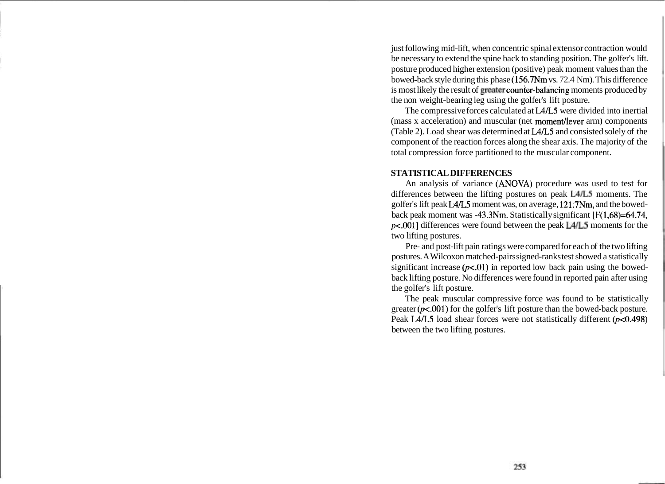just following mid-lift, when concentric spinal extensor contraction would be necessary to extend the spine back to standing position. The golfer's lift. posture produced higher extension (positive) peak moment values than the bowed-back style during this phase (156.7Nm vs. 72.4 Nm). This difference is most likely the result of greater counter-balancing moments produced by the non weight-bearing leg using the golfer's lift posture.

The compressive forces calculated at L4/L5 were divided into inertial (mass x acceleration) and muscular (net moment/lever arm) components (Table 2). Load shear was determined at L4/L5 and consisted solely of the component of the reaction forces along the shear axis. The majority of the total compression force partitioned to the muscular component.

# **STATISTICAL DIFFERENCES**

An analysis of variance (ANOVA) procedure was used to test for differences between the lifting postures on peak L4L5 moments. The golfer's lift peak LA/L5 moment was, on average, 121.7Nm, and the bowedback peak moment was -43.3Nm. Statistically significant [F(1,68)=64.74, p<.001] differences were found between the peak L4L5 moments for the two lifting postures.

Pre- and post-lift pain ratings were compared for each of the two lifting postures. A Wilcoxon matched-pairs signed-ranks test showed a statistically significant increase  $(p<0.01)$  in reported low back pain using the bowedback lifting posture. No differences were found in reported pain after using the golfer's lift posture.

The peak muscular compressive force was found to be statistically greater  $(p<.001)$  for the golfer's lift posture than the bowed-back posture. Peak L4/L5 load shear forces were not statistically different  $(p<0.498)$ between the two lifting postures.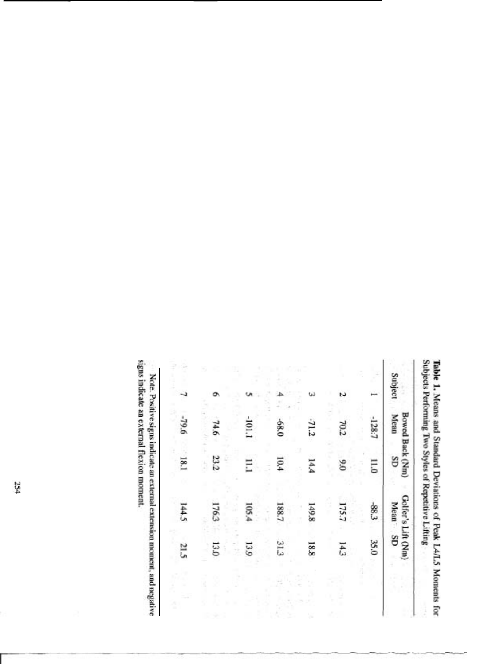|         |   |                                |                 | Subjects Performing Two Styles of Repetitive Lifting |      |  |
|---------|---|--------------------------------|-----------------|------------------------------------------------------|------|--|
| Subject |   | <b>Bowed Back (Nm)</b><br>Mean | GS              | Golfer's Lift (Nm)<br>Mean SD                        |      |  |
|         |   | $-128.7$                       | $\overline{11}$ | $-88.3$                                              | 35.0 |  |
|         | N | 70.2                           | 0.0             | 175.7                                                | 14,3 |  |
|         |   | $-71.2$                        | 14,4            | 149.8                                                | 18.8 |  |
|         |   | -68.0                          | 10.4            | 188.7                                                | 31.3 |  |
|         |   | $-101.1$                       | Ξ               | 105.4                                                | 13.9 |  |
|         | ۰ | 74.6                           | 23.2            | 176.3                                                | 13.0 |  |
|         |   | 9.64-                          | 18.1            | 144.5                                                | 21.5 |  |

Table 1. Means and Standard Deviations of Peak L4/L5 Moments for

signs indicate an external flexion moment. Note. Positive signs indicate an external extension moment, and negative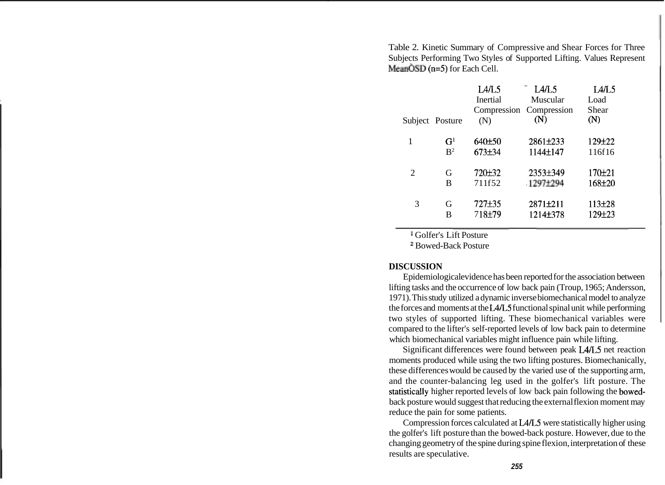Table 2. Kinetic Summary of Compressive and Shear Forces for Three Subjects Performing Two Styles of Supported Lifting. Values Represent  $MeanOSD (n=5)$  for Each Cell.

| Subject Posture |                | L4/L5<br>Inertial<br>(N) | L4/L5<br>Muscular<br>Compression Compression<br>(N) | I A/L5<br>Load<br>Shear<br>(N) |
|-----------------|----------------|--------------------------|-----------------------------------------------------|--------------------------------|
| 1               | G <sup>1</sup> | 640±50                   | 2861±233                                            | 129±22                         |
|                 | $R^2$          | 673±34                   | 1144±147                                            | 116f16                         |
| 2               | G              | 720 <del>±</del> 32      | 2353±349                                            | 170 <sub>±21</sub>             |
|                 | B              | 711f52                   | 1297±294                                            | 168±20                         |
| 3               | G              | 727±35                   | 2871±211                                            | 113±28                         |
|                 | В              | 718±79                   | 1214±378                                            | 129±23                         |

Golfer's Lift Posture

<sup>2</sup> Bowed-Back Posture

### **DISCUSSION**

Epidemiological evidence has been reported for the association between lifting tasks and the occurrence of low back pain (Troup, 1965; Andersson, 1971). This study utilized a dynamic inverse biomechanical model to analyze the forces and moments at the L4L5 functional spinal unit while performing two styles of supported lifting. These biomechanical variables were compared to the lifter's self-reported levels of low back pain to determine which biomechanical variables might influence pain while lifting.

Significant differences were found between peak L4L5 net reaction moments produced while using the two lifting postures. Biomechanically, these differences would be caused by the varied use of the supporting arm, and the counter-balancing leg used in the golfer's lift posture. The statistically higher reported levels of low back pain following the bowedback posture would suggest that reducing the external flexion moment may reduce the pain for some patients.

Compression forces calculated at L4L5 were statistically higher using the golfer's lift posture than the bowed-back posture. However, due to the changing geometry of the spine during spine flexion, interpretation of these results are speculative.